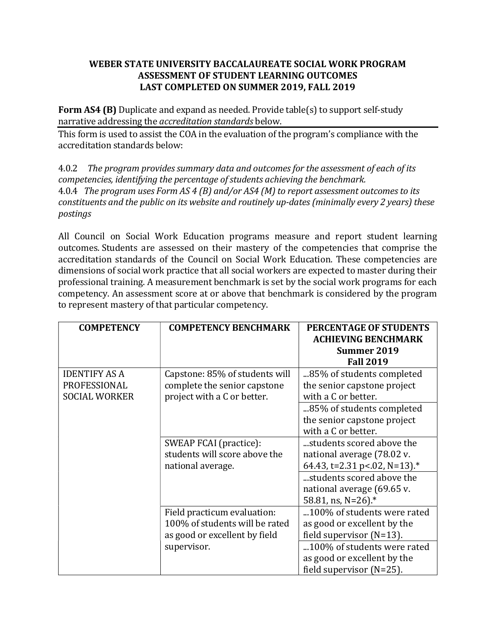## WEBER STATE UNIVERSITY BACCALAUREATE SOCIAL WORK PROGRAM ASSESSMENT OF STUDENT LEARNING OUTCOMES LAST COMPLETED ON SUMMER 2019, FALL 2019

Form AS4 (B) Duplicate and expand as needed. Provide table(s) to support self-study narrative addressing the accreditation standards below.

This form is used to assist the COA in the evaluation of the program's compliance with the accreditation standards below:

4.0.2 The program provides summary data and outcomes for the assessment of each of its competencies, identifying the percentage of students achieving the benchmark. 4.0.4 The program uses Form AS 4 (B) and/or AS4 (M) to report assessment outcomes to its constituents and the public on its website and routinely up-dates (minimally every 2 years) these postings

All Council on Social Work Education programs measure and report student learning outcomes. Students are assessed on their mastery of the competencies that comprise the accreditation standards of the Council on Social Work Education. These competencies are dimensions of social work practice that all social workers are expected to master during their professional training. A measurement benchmark is set by the social work programs for each competency. An assessment score at or above that benchmark is considered by the program to represent mastery of that particular competency.

| <b>COMPETENCY</b>                    | <b>COMPETENCY BENCHMARK</b>                                                                    | PERCENTAGE OF STUDENTS<br><b>ACHIEVING BENCHMARK</b><br>Summer 2019<br><b>Fall 2019</b>   |
|--------------------------------------|------------------------------------------------------------------------------------------------|-------------------------------------------------------------------------------------------|
| <b>IDENTIFY AS A</b><br>PROFESSIONAL | Capstone: 85% of students will<br>complete the senior capstone                                 | 85% of students completed<br>the senior capstone project                                  |
| <b>SOCIAL WORKER</b>                 | project with a C or better.                                                                    | with a C or better.                                                                       |
|                                      |                                                                                                | 85% of students completed<br>the senior capstone project<br>with a C or better.           |
|                                      | SWEAP FCAI (practice):<br>students will score above the<br>national average.                   | students scored above the<br>national average (78.02 v.<br>64.43, t=2.31 p < 02, N=13).*  |
|                                      |                                                                                                | students scored above the<br>national average (69.65 v.<br>58.81, ns, N=26).*             |
|                                      | Field practicum evaluation:<br>100% of students will be rated<br>as good or excellent by field | 100% of students were rated<br>as good or excellent by the<br>field supervisor $(N=13)$ . |
|                                      | supervisor.                                                                                    | 100% of students were rated<br>as good or excellent by the<br>field supervisor $(N=25)$ . |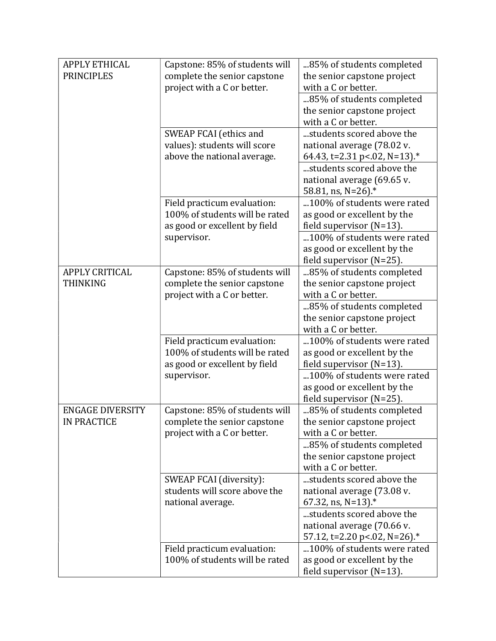| <b>APPLY ETHICAL</b>    | Capstone: 85% of students will | 85% of students completed       |
|-------------------------|--------------------------------|---------------------------------|
| <b>PRINCIPLES</b>       | complete the senior capstone   | the senior capstone project     |
|                         | project with a C or better.    | with a C or better.             |
|                         |                                | 85% of students completed       |
|                         |                                | the senior capstone project     |
|                         |                                | with a C or better.             |
|                         | SWEAP FCAI (ethics and         | students scored above the       |
|                         | values): students will score   | national average (78.02 v.      |
|                         | above the national average.    | 64.43, t=2.31 p < 02, N=13).*   |
|                         |                                | students scored above the       |
|                         |                                | national average (69.65 v.      |
|                         |                                | 58.81, ns, N=26).*              |
|                         | Field practicum evaluation:    | 100% of students were rated     |
|                         | 100% of students will be rated | as good or excellent by the     |
|                         | as good or excellent by field  | field supervisor (N=13).        |
|                         | supervisor.                    | 100% of students were rated     |
|                         |                                | as good or excellent by the     |
|                         |                                | field supervisor (N=25).        |
| <b>APPLY CRITICAL</b>   | Capstone: 85% of students will | 85% of students completed       |
| <b>THINKING</b>         | complete the senior capstone   | the senior capstone project     |
|                         | project with a C or better.    | with a C or better.             |
|                         |                                | 85% of students completed       |
|                         |                                | the senior capstone project     |
|                         |                                | with a C or better.             |
|                         | Field practicum evaluation:    | 100% of students were rated     |
|                         | 100% of students will be rated | as good or excellent by the     |
|                         | as good or excellent by field  | field supervisor $(N=13)$ .     |
|                         | supervisor.                    | 100% of students were rated     |
|                         |                                | as good or excellent by the     |
|                         |                                | field supervisor $(N=25)$ .     |
| <b>ENGAGE DIVERSITY</b> | Capstone: 85% of students will | 85% of students completed       |
| <b>IN PRACTICE</b>      | complete the senior capstone   | the senior capstone project     |
|                         | project with a C or better.    | with a C or better.             |
|                         |                                | 85% of students completed       |
|                         |                                | the senior capstone project     |
|                         |                                | with a C or better.             |
|                         | SWEAP FCAI (diversity):        | students scored above the       |
|                         | students will score above the  | national average (73.08 v.      |
|                         | national average.              | 67.32, ns, $N=13$ ). $*$        |
|                         |                                | students scored above the       |
|                         |                                | national average (70.66 v.      |
|                         |                                | 57.12, t=2.20 p < 02, N = 26).* |
|                         | Field practicum evaluation:    | 100% of students were rated     |
|                         | 100% of students will be rated | as good or excellent by the     |
|                         |                                | field supervisor $(N=13)$ .     |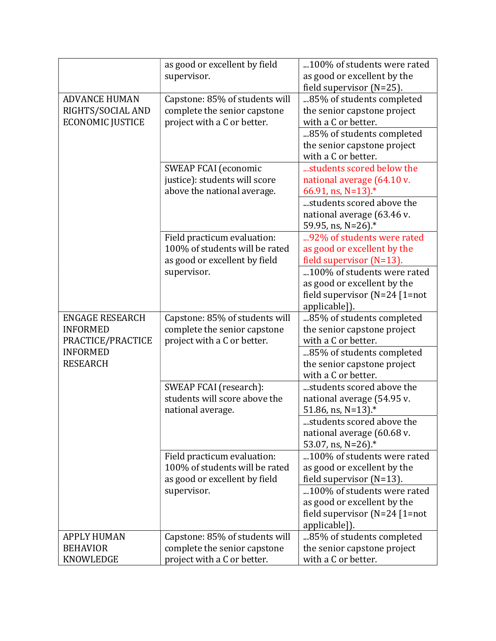|                         | as good or excellent by field<br>supervisor. | 100% of students were rated<br>as good or excellent by the |
|-------------------------|----------------------------------------------|------------------------------------------------------------|
|                         |                                              | field supervisor (N=25).                                   |
| <b>ADVANCE HUMAN</b>    | Capstone: 85% of students will               | 85% of students completed                                  |
| RIGHTS/SOCIAL AND       | complete the senior capstone                 | the senior capstone project                                |
| <b>ECONOMIC JUSTICE</b> | project with a C or better.                  | with a C or better.                                        |
|                         |                                              | 85% of students completed                                  |
|                         |                                              | the senior capstone project                                |
|                         |                                              | with a C or better.                                        |
|                         | <b>SWEAP FCAI</b> (economic                  | students scored below the                                  |
|                         | justice): students will score                | national average (64.10 v.                                 |
|                         | above the national average.                  | 66.91, ns, N=13).*                                         |
|                         |                                              | students scored above the                                  |
|                         |                                              | national average (63.46 v.                                 |
|                         |                                              | 59.95, ns, N=26).*                                         |
|                         | Field practicum evaluation:                  | 92% of students were rated                                 |
|                         | 100% of students will be rated               | as good or excellent by the                                |
|                         | as good or excellent by field                | field supervisor (N=13).                                   |
|                         | supervisor.                                  | 100% of students were rated                                |
|                         |                                              | as good or excellent by the                                |
|                         |                                              | field supervisor $(N=24)$ [1=not                           |
|                         |                                              | applicable]).                                              |
| <b>ENGAGE RESEARCH</b>  | Capstone: 85% of students will               | 85% of students completed                                  |
| <b>INFORMED</b>         | complete the senior capstone                 | the senior capstone project                                |
| PRACTICE/PRACTICE       | project with a C or better.                  | with a C or better.                                        |
| <b>INFORMED</b>         |                                              | 85% of students completed                                  |
| <b>RESEARCH</b>         |                                              | the senior capstone project                                |
|                         |                                              | with a C or better.                                        |
|                         | SWEAP FCAI (research):                       | students scored above the                                  |
|                         | students will score above the                | national average (54.95 v.                                 |
|                         | national average.                            | 51.86, ns, N=13).*                                         |
|                         |                                              | students scored above the                                  |
|                         |                                              | national average (60.68 v.                                 |
|                         |                                              | 53.07, ns, N=26).*                                         |
|                         | Field practicum evaluation:                  | 100% of students were rated                                |
|                         | 100% of students will be rated               | as good or excellent by the                                |
|                         | as good or excellent by field                | field supervisor $(N=13)$ .                                |
|                         | supervisor.                                  | 100% of students were rated                                |
|                         |                                              | as good or excellent by the                                |
|                         |                                              | field supervisor $(N=24)$ [1=not                           |
|                         |                                              | applicable]).                                              |
| <b>APPLY HUMAN</b>      | Capstone: 85% of students will               | 85% of students completed                                  |
| <b>BEHAVIOR</b>         | complete the senior capstone                 | the senior capstone project                                |
| KNOWLEDGE               | project with a C or better.                  | with a C or better.                                        |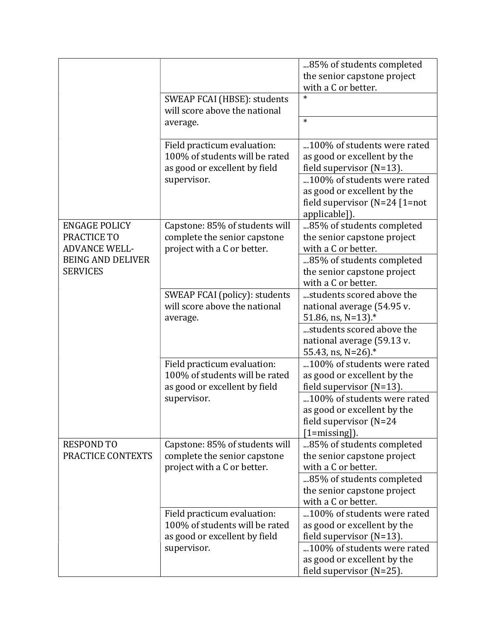|                                                                                                            |                                                                                                | 85% of students completed<br>the senior capstone project                                                        |
|------------------------------------------------------------------------------------------------------------|------------------------------------------------------------------------------------------------|-----------------------------------------------------------------------------------------------------------------|
|                                                                                                            | SWEAP FCAI (HBSE): students<br>will score above the national<br>average.                       | with a C or better.<br>$\ast$<br>$\ast$                                                                         |
|                                                                                                            | Field practicum evaluation:<br>100% of students will be rated<br>as good or excellent by field | 100% of students were rated<br>as good or excellent by the<br>field supervisor $(N=13)$ .                       |
|                                                                                                            | supervisor.                                                                                    | 100% of students were rated<br>as good or excellent by the<br>field supervisor $(N=24)$ [1=not<br>applicable]). |
| <b>ENGAGE POLICY</b><br>PRACTICE TO<br><b>ADVANCE WELL-</b><br><b>BEING AND DELIVER</b><br><b>SERVICES</b> | Capstone: 85% of students will<br>complete the senior capstone<br>project with a C or better.  | 85% of students completed<br>the senior capstone project<br>with a C or better.                                 |
|                                                                                                            |                                                                                                | 85% of students completed<br>the senior capstone project<br>with a C or better.                                 |
|                                                                                                            | SWEAP FCAI (policy): students<br>will score above the national<br>average.                     | students scored above the<br>national average (54.95 v.<br>51.86, ns, N=13).*                                   |
|                                                                                                            |                                                                                                | students scored above the<br>national average (59.13 v.<br>55.43, ns, N=26).*                                   |
|                                                                                                            | Field practicum evaluation:<br>100% of students will be rated<br>as good or excellent by field | 100% of students were rated<br>as good or excellent by the<br>field supervisor (N=13).                          |
|                                                                                                            | supervisor.                                                                                    | 100% of students were rated<br>as good or excellent by the<br>field supervisor (N=24<br>$[1 = missing]$ .       |
| <b>RESPOND TO</b><br>PRACTICE CONTEXTS                                                                     | Capstone: 85% of students will<br>complete the senior capstone<br>project with a C or better.  | 85% of students completed<br>the senior capstone project<br>with a C or better.                                 |
|                                                                                                            |                                                                                                | 85% of students completed<br>the senior capstone project<br>with a C or better.                                 |
|                                                                                                            | Field practicum evaluation:<br>100% of students will be rated<br>as good or excellent by field | 100% of students were rated<br>as good or excellent by the<br>field supervisor (N=13).                          |
|                                                                                                            | supervisor.                                                                                    | 100% of students were rated<br>as good or excellent by the<br>field supervisor (N=25).                          |